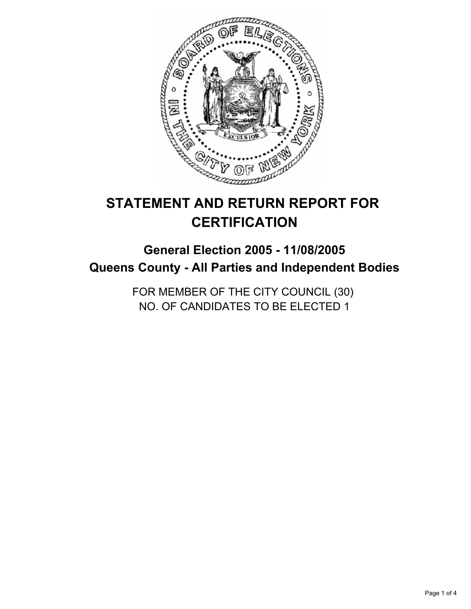

# **STATEMENT AND RETURN REPORT FOR CERTIFICATION**

## **General Election 2005 - 11/08/2005 Queens County - All Parties and Independent Bodies**

FOR MEMBER OF THE CITY COUNCIL (30) NO. OF CANDIDATES TO BE ELECTED 1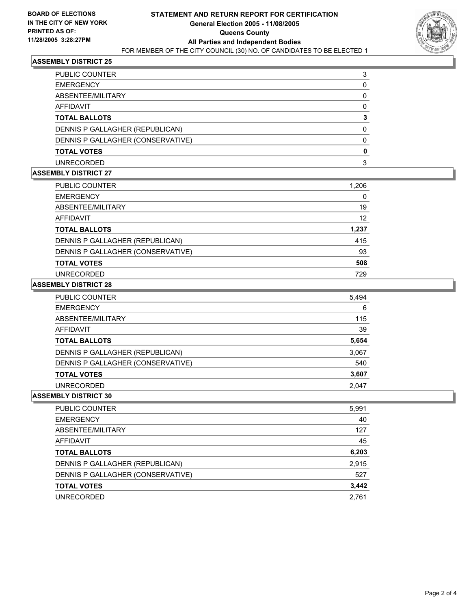

### **ASSEMBLY DISTRICT 25**

| <b>PUBLIC COUNTER</b>             |  |
|-----------------------------------|--|
| <b>EMERGENCY</b>                  |  |
| ABSENTEE/MILITARY                 |  |
| AFFIDAVIT                         |  |
| <b>TOTAL BALLOTS</b>              |  |
| DENNIS P GALLAGHER (REPUBLICAN)   |  |
| DENNIS P GALLAGHER (CONSERVATIVE) |  |
| <b>TOTAL VOTES</b>                |  |
| <b>UNRECORDED</b>                 |  |

#### **ASSEMBLY DISTRICT 27**

| <b>PUBLIC COUNTER</b>             | 1,206 |  |
|-----------------------------------|-------|--|
| <b>EMERGENCY</b>                  |       |  |
| ABSENTEE/MILITARY                 | 19    |  |
| AFFIDAVIT                         | 12    |  |
| <b>TOTAL BALLOTS</b>              | 1,237 |  |
| DENNIS P GALLAGHER (REPUBLICAN)   | 415   |  |
| DENNIS P GALLAGHER (CONSERVATIVE) | 93    |  |
| <b>TOTAL VOTES</b>                | 508   |  |
| UNRECORDED                        | 729   |  |

#### **ASSEMBLY DISTRICT 28**

| PUBLIC COUNTER                    | 5,494 |
|-----------------------------------|-------|
| <b>EMERGENCY</b>                  | 6     |
| ABSENTEE/MILITARY                 | 115   |
| AFFIDAVIT                         | 39    |
| <b>TOTAL BALLOTS</b>              | 5,654 |
| DENNIS P GALLAGHER (REPUBLICAN)   | 3,067 |
| DENNIS P GALLAGHER (CONSERVATIVE) | 540   |
| <b>TOTAL VOTES</b>                | 3,607 |
| UNRECORDED                        | 2.047 |

#### **ASSEMBLY DISTRICT 30**

| PUBLIC COUNTER                    | 5,991 |
|-----------------------------------|-------|
| <b>EMERGENCY</b>                  | 40    |
| ABSENTEE/MILITARY                 | 127   |
| AFFIDAVIT                         | 45    |
| <b>TOTAL BALLOTS</b>              | 6,203 |
| DENNIS P GALLAGHER (REPUBLICAN)   | 2,915 |
| DENNIS P GALLAGHER (CONSERVATIVE) | 527   |
| <b>TOTAL VOTES</b>                | 3,442 |
| <b>UNRECORDED</b>                 | 2.761 |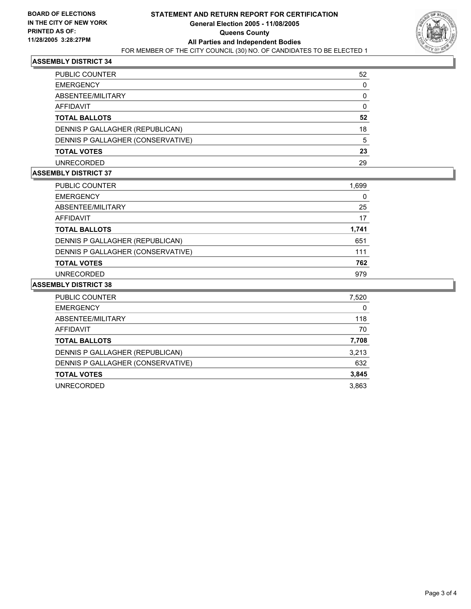

### **ASSEMBLY DISTRICT 34**

| PUBLIC COUNTER                    | 52 |
|-----------------------------------|----|
| <b>EMERGENCY</b>                  |    |
| ABSENTEE/MILITARY                 |    |
| AFFIDAVIT                         |    |
| <b>TOTAL BALLOTS</b>              | 52 |
| DENNIS P GALLAGHER (REPUBLICAN)   | 18 |
| DENNIS P GALLAGHER (CONSERVATIVE) | 5  |
| <b>TOTAL VOTES</b>                | 23 |
| <b>UNRECORDED</b>                 | 29 |

## **ASSEMBLY DISTRICT 37**

| <b>PUBLIC COUNTER</b>             | 1,699 |  |
|-----------------------------------|-------|--|
| <b>EMERGENCY</b>                  |       |  |
| ABSENTEE/MILITARY                 | 25    |  |
| AFFIDAVIT                         | 17    |  |
| <b>TOTAL BALLOTS</b>              | 1,741 |  |
| DENNIS P GALLAGHER (REPUBLICAN)   | 651   |  |
| DENNIS P GALLAGHER (CONSERVATIVE) | 111   |  |
| <b>TOTAL VOTES</b>                | 762   |  |
| <b>UNRECORDED</b>                 | 979   |  |

#### **ASSEMBLY DISTRICT 38**

| PUBLIC COUNTER                    | 7,520 |
|-----------------------------------|-------|
| <b>EMERGENCY</b>                  | 0     |
| ABSENTEE/MILITARY                 | 118   |
| <b>AFFIDAVIT</b>                  | 70    |
| <b>TOTAL BALLOTS</b>              | 7,708 |
| DENNIS P GALLAGHER (REPUBLICAN)   | 3,213 |
| DENNIS P GALLAGHER (CONSERVATIVE) | 632   |
| <b>TOTAL VOTES</b>                | 3,845 |
| UNRECORDED                        | 3,863 |